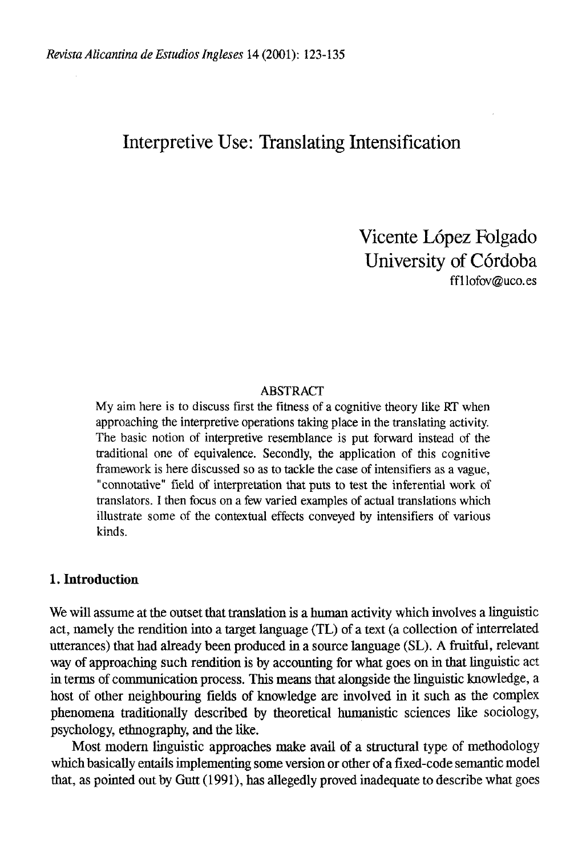# Interpretive Use: Translating Intensification

Vicente López Folgado University of Córdoba [ffllofov@uco.es](mailto:ffllofov@uco.es) 

#### ABSTRACT

My aim here is to discuss first the fitness of a cognitive theory like RT when approaching the interpretive operations taking place in the translating activity. The basic notion of interpretive resemblance is put forward instead of the traditional one of equivalence. Secondly, the application of this cognitive framework is here discussed so as to tackle the case of intensifiers as a vague, "connotative" field of interpretation that puts to test the ínferential work of translators. I then focus on a few varied examples of actual translations which ¡Ilústrate some of the contextual effects conveyed by intensifiers of various kinds.

# **1. Introduction**

We will assume at the outset that translation is a human activity which involves a linguistic act, namely the rendition into a target language (TL) of a text (a collection of interrelated utterances) that had already been produced in a source language (SL). A fruitful, relevant way of approaching such rendition is by accounting for what goes on in that linguistic act in terms of communication process. This means that alongside the linguistic knowledge, a host of other neighbouring fields of knowledge are involved in it such as the complex phenomena traditionally described by theoretical humanistic sciences like sociology, psychology, ethnography, and the like.

Most modern linguistic approaches make avail of a structural type of methodology which basically entails implementing some versión or other of a fixed-code semantic model that, as pointed out by Gutt (1991), has allegedly proved inadequate to describe what goes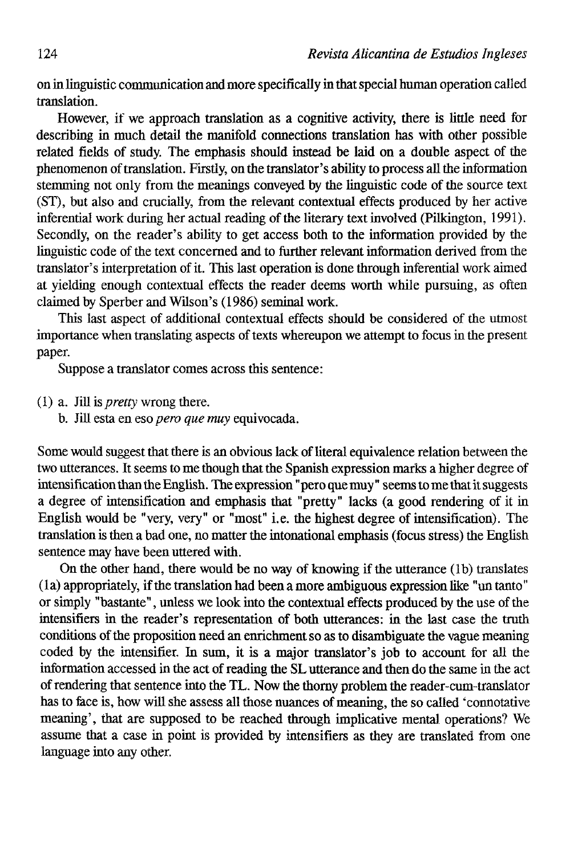on in linguistic communication and more specifically in that special human operatíon called íranslatíon.

However, if we approach translation as a cognitive activity, there is little need for describing in much detail the manifold connections transiatíon has with other possible related fields of study. The emphasis should instead be laid on a double aspect of the phenomenon of translation. Firstly, on the translator's ability to process all the information stemming not only from the meanings conveyed by the linguistic code of the source text (ST), but also and crucially, from the relevant contextual effects produced by her active inferential work during her actual reading of the literary text involved (Pilkington, 1991). Secondly, on the reader's ability to get access both to the information provided by the linguistic code of the text concerned and to further relevant information derived from the translator's interpretation of it. This last operation is done through inferential work aimed at yielding enough contextual effects the reader deems worth while pursuing, as often claimed by Sperber and Wilson's (1986) seminal work.

This last aspect of additional contextual effects should be considered of the utmost importance when translating aspects of texts whereupon we attempt to focus in the present paper.

Suppose a translator comes across this sentence:

(1) a. Jill is *pretty* wrong there.

b. Jül esta en eso *pero que muy* equivocada.

Some would suggest that there is an obvious lack of literal equivalence relation between the two utterances. It seems to me though that the Spanish expression marks a higher degree of intensification than the English. The expression "pero que muy" seems to me that it suggests a degree of intensification and emphasis that "pretty" lacks (a good rendering of it in English would be "very, very" or "most" i.e. the highest degree of intensification). The translation is then a bad one, no matter the intonational emphasis (focus stress) the English sentence may have been uttered with.

On the other hand, there would be no way of knowing if the utterance (Ib) translates (la) appropriately, if the translation had been a more ambiguous expression like "un tanto" or simply "bastante", unless we look into the contextual effects produced by the use of the intensifiers in the reader's representation of both utterances: in the last case the truth conditions of the proposition need an enrichment so as to disambiguate the vague meaning coded by the intensifier. In sum, it is a major translator's job to account for all the information accessed in the act of reading the SL utterance and then do the same in the act of rendering that sentence into the TL. Now the thorny problem the reader-cum-translator has to iace is, how will she assess all those nuances of meaning, the so called 'connotative meaning', that are supposed to be reached through implicative mental operations? We assume that a case in point is provided by intensifiers as they are translated from one language into any other.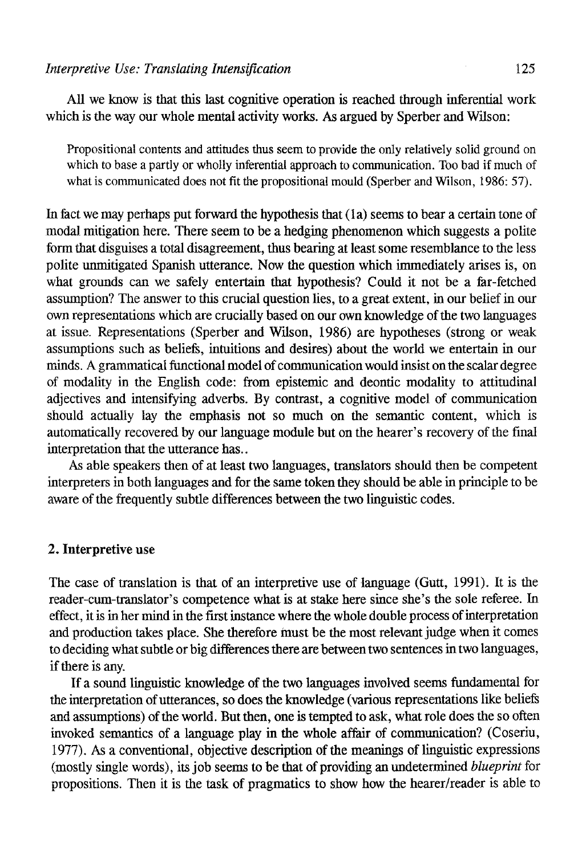AU we know is that this last cognitíve operation is reached through inferential work which is the way our whole mental activity works. As argued by Sperber and Wilson:

Propositional contents and attitudes thus seem to provide the only relatively solid ground on which to base a partly or wholly inferential approach to communication. Too bad if much of what is communicated does not fit the propositional mould (Sperber and Wilson, 1986: 57).

In fact we may perhaps put forward the hypothesis that (la) seems to bear a certain tone of modal mitigatíon here. There seem to be a hedging phenomenon which suggests a polite form that disguises a total disagreement, thus bearing at least some resemblance to the less polite unmitigated Spanish utterance. Now the question which immediately arises is, on what grounds can we safely entertain that hypothesis? Could it not be a far-fetched assumption? The answer to this crucial question lies, to a great extent, in our belief in our own representations which are crucially based on our own knowledge of the two languages at issue. Representations (Sperber and Wilson, 1986) are hypotheses (strong or weak assumptions such as beliefs, intuitions and desires) about the world we entertain in our minds. A grammatical fünctional model of communication would insist on the scalar degree of modality in the English code: from epistemic and deontic modality to attitudinal adjectives and intensifying adverbs. By contrast, a cognitive model of communication should actually íay the emphasis not so much on the semantic content, which is automatically recovered by our language module but on the hearer's recovery of the final interpretation that the utterance has..

As able speakers then of at least two languages, translators should then be competent interpreters in both languages and for the same token they should be able in principie to be aware of the frequently subtle differences between the two linguistic codes.

## 2. Interpretive use

The case of translation is that of an interpretive use of language (Gutt, 1991). It is the reader-cum-translator's competence what is at stake here since she's the solé referee. In effect, it is in her mind in the first instance where the whole double process of interpretation and production takes place. She therefore must be the most relevant judge when it comes to deciding what subtle or big differences there are between two sentences in two languages, if there is any.

If a sound linguistic knowledge of the two languages involved seems fundamental for the interpretation of utterances, so does the knowledge (various representations like beliefs and assumptions) of the world. But then, one is tempted to ask, what role does the so often invoked semantics of a language play in the whole affair of communication? (Coseriu, 1977). As a conventional, objective description of the meanings of linguistic expressions (mostly single words), its job seems to be that of providing an undetermined *blueprint* for propositions. Then it is the task of pragmatics to show how the hearer/reader is able to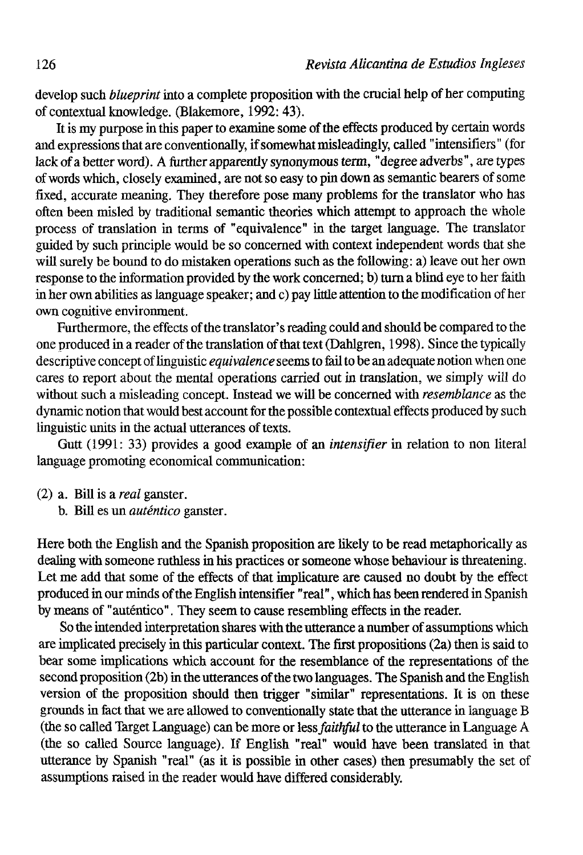develop such *blueprint* into a complete proposition with the crucial help of her computing of contextual knowledge. (Blakemore, 1992: 43).

It is my purpose in this paper to examine some of the effects produced by certain words and expressions that are conventionally, if somewhat misleadingly, called "intensifiers" (for lack of a better word). A further apparently synonymous term, "degree adverbs", are types of words which, closely examined, are not so easy to pin down as semantic bearers of some fixed, accurate meaning. They therefore pose many problems for the translator who has often been misled by traditional semantic theories which attempt to approach the whole process of translation in terms of "equivalence" in the target language. The translator guided by such principie would be so concerned with context independent words that she will surely be bound to do mistaken operations such as the following: a) leave out her own response to the information provided by the work concerned; b) turn a blind eye to her faith in her own abilities as language speaker; and c) pay litüe attention to tbe modification of her own cognitive environment.

Furthermore, the effects of the translator's reading could and should be compared to the one produced in a reader of the translation of that text (Dahlgren, 1998). Since the typically descriptive concept of linguistic *equivalence* seems to fail to be an adequate notion when one cares to report about the mental operations carried out in translation, we simply will do without such a misleading concept. Instead we will be concerned with *resemblance* as the dynamic notion that would best account for the possible contextual effects produced by such linguistic units in the actual utterances of texts.

Gutt (1991: 33) provides a good example of an *intensifier* in relation to non literal language promoting economical communication:

- (2) a. Bill is a *real* ganster.
	- b. Bill es un *auténtico* ganster.

Here both the English and the Spanish proposition are likely to be read metaphorically as dealing with someone ruthless in his practices or someone whose behaviour is threatening. Let me add that some of the effects of that implicature are caused no doubt by the effect produced in our minds of the English intensifier "real", which has been rendered in Spanish by means of "auténtico". They seem to cause resembling effects in the reader.

So the intended interpretation shares with the utterance a number of assumptions which are implicated precisely in this particular context. The first propositions (2a) then is said to bear some implications which account for the resemblance of the representations of the second proposition (2b) in the utterances of the two languages. The Spanish and the English version of the proposition should then trigger "similar" representations. It is on these grounds in fact that we are allowed to conventionally state that the utterance in language B (the so called Target Language) can be more or less *faithful* to the utterance in Language A (the so called Source language). If English "real" would nave been translated in that utterance by Spanish "real" (as it is possible in other cases) then presumably the set of assumptions raised in the reader would have differed considerably.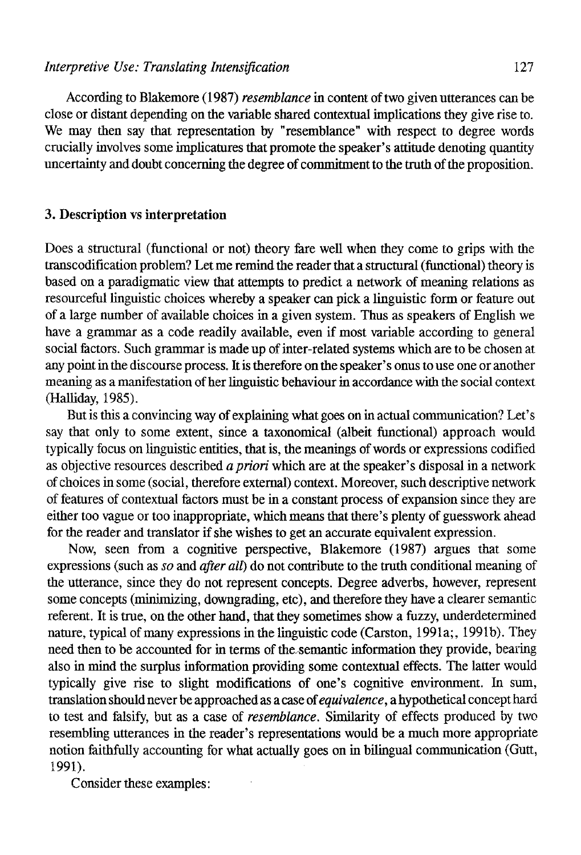According to Blakemore (1987) *resemblance* in content of two givenutterances can be cióse or distant depending on the variable shared contextual implications they give rise to. We may then say that representation by "resemblance" with respect to degree words crucially involves some implicatures that promote the speaker's attitude denoting quantity uncertainty and doubt concerning the degree of commitment to the trath of the proposition.

# 3. Description vs interpretation

Does a structural (functional or not) theory fare well when they come to grips with the transcodification problem? Let me remind the reader that a structural (functional) theory is based on a paradigmatic view that attempts to predict a network of meaning relations as resourceful linguistic choices whereby a speaker can pick a linguistic form or feature out of a large number of available choices in a given system. Thus as speakers of English we have a grammar as a code readily available, even if most variable according to general social factors. Such grammar is made up of inter-related systems which are to be chosen at any point in the discourse process. It is therefore on the speaker's onus to use one or another meaning as a manifestation of her linguistic behaviour in accordance with the social context (Halliday, 1985).

But is this a convincing way of explaining what goes on in actual communication? Let's say that only to some extent, since a taxonomical (albeit functional) approach would typically focus on linguistic entities, that is, the meanings of words or expressions codified as objective resources described *apriori* which are at the speaker's disposal in a network of choices in some (social, therefore externa!) context. Moreover, such descriptive network of features of contextual factors must be in a constant process of expansión since they are either too vague or too inappropriate, which means that there's plenty of guesswork ahead for the reader and translator if she wishes to get an accurate equivalent expression.

Now, seen from a cognitive perspective, Blakemore (1987) argües that some expressions (such as *so* and *after all)* do not contribute to the truth conditional meaning of the utterance, since they do not represent concepts. Degree adverbs, however, represent some concepts (minimizing, downgrading, etc), and therefore they have a clearer semantic referent. It is trae, on the other hand, that they sometimes show a fuzzy, underdetermined nature, typical of many expressions in the linguistic code (Carston, 1991a;, 1991b). They need then to be accounted for in terms of the. semantic information they provide, bearing also in mind the surplus information providing some contextual effects. The latter would typically give rise to slight modifications of one's cognitive environment. In sum, translation should never be approached as a case of *equivalence,* a hypothetical concept hard to test and falsify, but as a case of *resemblance.* Similarity of effects produced by two resembling utterances in the reader's representations would be a much more appropriate notion faithfully accounting for what actually goes on in bilingual communication (Gutt, 1991).

Consider these examples: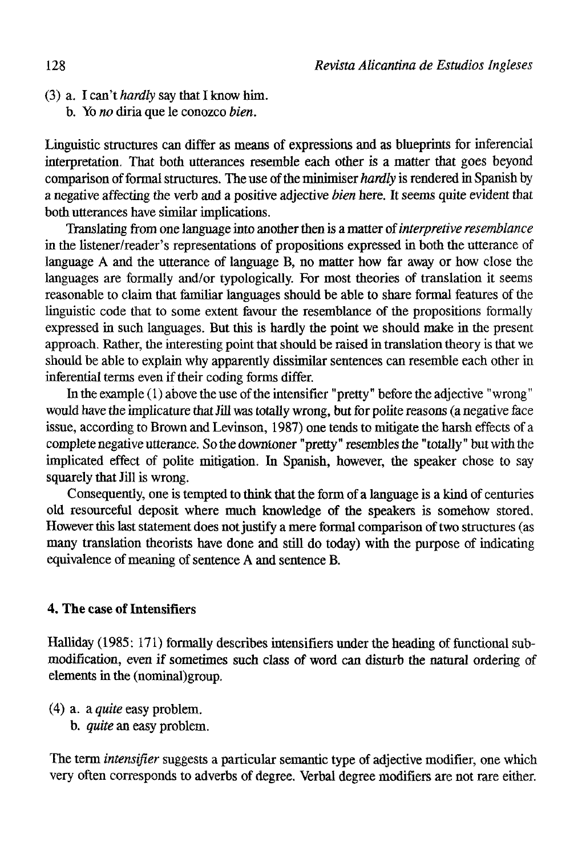(3) a. I can't *hardly* say that I know him.

b. Yo *no* diría que le conozco *bien.* 

Linguistic structures can differ as means of expressions and as blueprints for inferencial interpretatíon. That both utterances resemble each other is a matter that goes beyond comparison of formal stractures. The use of the minimiser *hardly* is rendered in Spanish by a negative affecting the verb and a positive adjective *bien* here. It seems quite evident that both utterances have similar implications.

Translating from one language into another then is a matter of *interpretive resemblance*  in the listener/reader's representations of propositions expressed in both the utterance of language A and the utterance of language B, no matter how far away or how close the languages are formally and/or typologically. For most theories of translation it seems reasonable to claim that familiar languages should be able to share formal features of the linguistic code that to some extent favour the resemblance of the propositions formally expressed in such languages. But this is hardly the point we should make in the present approach. Rather, the interesting point that should be raised in translation theory is that we should be able to explain why apparently dissimilar sentences can resemble each other in inferential terms even if their coding forms differ.

In the example (1) above the use of the intensifier "pretty" before the adjective "wrong" would have the implicature that Jill was totally wrong, but for polite reasons (a negative face issue, according to Brown and Levinson, 1987) one tends to mitígate the harsh effects of a complete negative utterance. So the downtoner "pretty" resembles the "totally" but with the implicated effect of poüte mitigation. In Spanish, however, the speaker chose to say squarely that Jill is wrong.

Consequently, one is tempted to think that the form of a language is a kind of centuries oíd resourceful deposit where much knowledge of the speakers is somehow stored. However this last statement does not justify a mere formal comparison of two structures (as many translation theorists have done and still do today) with the purpose of indicating equivalence of meaning of sentence A and sentence B.

# 4. The case of Intensifiers

Halliday (1985: 171) formally describes intensifiers under the heading of functional submodification, even if sometimes such class of word can disturb the natural ordering of elements in the (nominal)group.

- (4) a. a *quite* easy problem.
	- b. *quite* an easy problem.

The term *intensifier* suggests a particular semantic type of adjective modifier, one which very often corresponds to adverbs of degree. Verbal degree modifiers are not rare either.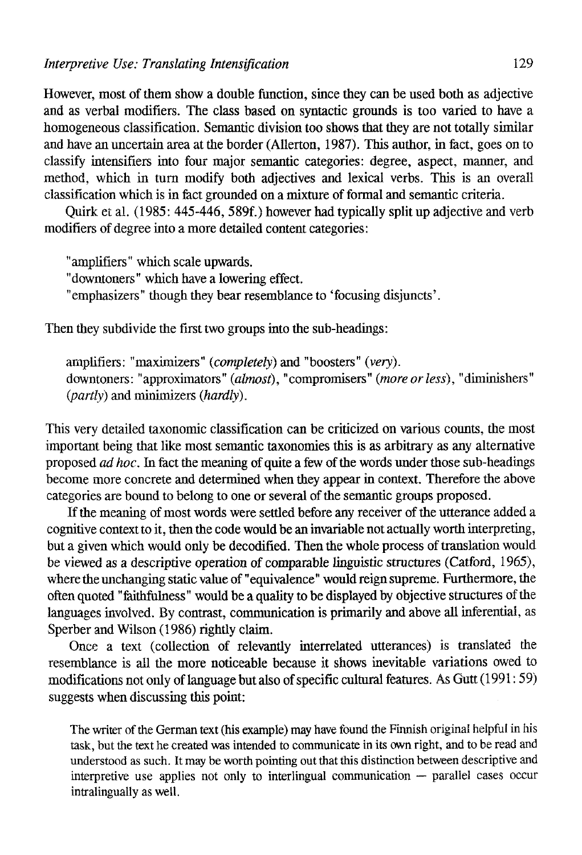However, most of them show a double function, since they can be used both as adjective and as verbal modifiers. The class based on syntactic grounds is too varíed to have a homogeneous classificatíon. Semantic división too shows that they are not totally similar and have an uncertain área at the border (Allerton, 1987). This author, in fact, goes on to classify intensifiers into four major semantic categories: degree, aspect, manner, and method, which in turn modify both adjectives and lexical verbs. This is an overall classificatíon which is in fact grounded on a mixture of formal and semantic criteria.

Quirk et al. (1985: 445-446, 589f.) however had typically splitup adjective and verb modifiers of degree into a more detailed content categories:

"amplifiers" which scale upwards.

"downtoners" which have a lowering effect.

"emphasizers" though they bear resemblance to 'focusing disjuncts'.

Then they subdivide the first two groups into the sub-headings:

amplifiers: "maximizers" *(completely)* and "boosters" *(very).*  downtoners: "approximators" *(almost),* "compromisers" *(moreorless),* "diminishers" *(partly)* and minimizers *(hardly).* 

This very detailed taxonomic classificatíon can be criticized on various counts, the most important being that like most semantic taxonomies this is as arbitrary as any alternative proposed *ad hoc.* In fact the meaning of quite a few of the words under those sub-headings become more concrete and determined when they appear in context. Therefore the above categories are bound to belong to one or several of the semantic groups proposed.

If the meaning of most words were settled before any receiver of the utterance added a cognitive context to it, then the code would be an invariable not actually worth interpreting, but a given which would only be decodified. Then the whole process of translation would be viewed as a descriptive operation of comparable linguistic structures (Catford, 1965), where the unchanging static value of "equivalence" would reign supreme. Furthermore, the often quoted "faithfulness" would be a quality to be displayed by objective structures of the languages involved. By contrast, communication is primarily and above all inferential, as Sperber and Wilson (1986) rightly claim.

Once a text (collection of relevantly interrelated utterances) is translated the resemblance is all the more notíceable because it shows inevitable variations owed to modifications not only of language but also of specific cultural features. As Gutt (1991:59) suggests when discussing this point:

The writer of the German text (his example) may have found the Finnish original helpful in his task, but the text he created was intended to communicate in its own right, and to be read and understood as such. It may be worth pointing out that this distinction between descriptive and interpretive use applies not only to interiingual communication — parallel cases occur intralingually as well.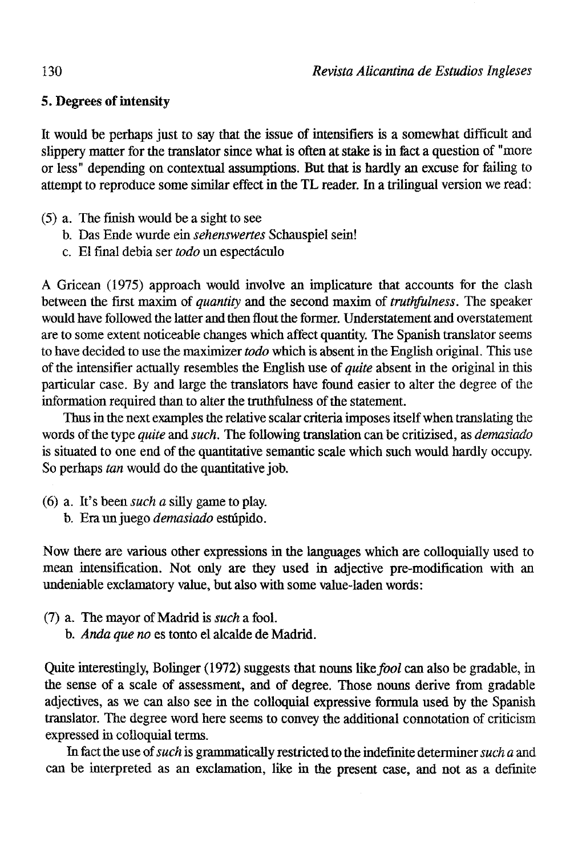# 5. Degrees of intensity

It would be perhaps just to say that the issue of intensifiers is a somewhat difficult and slippery matter for the translator since what is often at stake is in fact a question of "more or less" depending on contextual assumptions. But that is hardly an excuse for failing to attempt to reproduce some similar effect in the TL reader. In a trilingual versión we read:

- (5) a. The finish would be a sight to see
	- b. Das Ende wurde ein *sehenswertes* Schauspiel sein!
	- c. El final debía ser *todo* un espectáculo

A Gricean (1975) approach would involve an implicature that accounts for the clash between the first maxim of *quantity* and the second maxim of *truthfulness.* The speaker would have followed the latter and then flout the former. Understatement and overstatement are to some extent noticeable changes which aftect quantity. The Spanish translator seems to have decided to use the maxirnizer *todo* which is absent in the English original. This use of the intensifier actually resembles the English use *oí quite* absent in the original in this particular case. By and large the translators have found easier to alter the degree of the information required than to alter the truthfulness of the statement.

Thus in the next examples the relative scalar criteria imposes itself when translating the words of the type *quite* and *such.* The following translation can be critizised, as *demasiado*  is situated to one end of the quantitative semantic scale which such would hardly occupy. So perhaps *tan* would do the quantitative job.

- (6) a. It's been *such a* silly game to play.
	- b. Era un juego demasiado estúpido.

Now there are various other expressions in the languages which are colloquially used to mean intensification. Not only are they used in adjective pre-modification with an undeniable exclamatory valué, but also with some value-laden words:

- (7) a. The mayor of Madrid is *such* a fool.
	- b. *Anda que no* es tonto el alcalde de Madrid.

Quite interestingly, Bolinger (1972) suggests that nouns like *fool* can also be gradable, in the sense of a scale of assessment, and of degree. Those nouns derive from gradable adjectives, as we can also see in the colloquial expressive formula used by the Spanish translator. The degree word here seems to convey the additional connotation of criticism expressed in colloquial terms.

In fact the use of *such* is grammatically restricted to the indefinite determiner *sucha* and can be interpreted as an exclamation, like in the present case, and not as a definite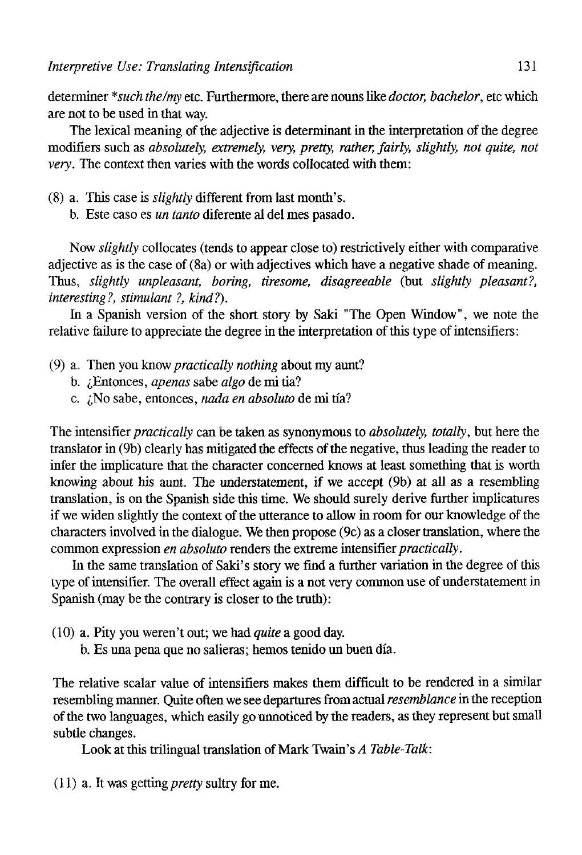determiner *\*such the/my* etc. Furthermore, there are nouns like *doctor, bachelor,* etc which are not to be used in that way.

The lexical meaning of the adjective is determinant in the interpretation of the degree modifiers such as *absolutely, extremely, very, pretty, rather, fairly, slightly, not quite, not very.* The context then varíes with the words collocated with them:

- (8) a. This case is *slightly* different from last month's.
	- b. Este caso es *un tanto* diferente al del mes pasado.

Now *slightly* collocates (tends to appear close to) restrictively either with comparative adjective as is the case of (8a) or with adjectives which have a negative shade of meaning. Thus, *slightly unpleasant, boring, tiresome, disagreeable* (but *slightly pleasant?, interesting?, stimulant ?, kind?).* 

In a Spanish version of the short story by Saki "The Open Window", we note the relative failure to appreciate the degree in the interpretation of this type of intensifiers:

- (9) a. Then you know *practically nothing* about my aunt?
	- b. ¿Entonces, *apenas* sabe *algo* de mi tía?
	- c. ¿No sabe, entonces, *nada en absoluto* de mi tía?

The intensifier *practically* can be taken as synonymous to *absolutely, totally,* but here the translator in (9b) clearly has mitigated the effects of the negative, thus leading the reader to infer the implicature that the character concerned knows at least something that is worth knowing about bis aunt. The understatement, if we accept (9b) at all as a resembling translation, is on the Spanish side this time. We should surely derive further implicatures if we widen slightly the context of the utterance to allow in room for our knowledge of the characters involved in the dialogue. We then propose (9c) as a closer translation, where the common expression *en absoluto* renders the extreme intensifier *practically.* 

In the same translation of Saki's story we find a further variation in the degree of this type of intensifier. The overall effect again is a not very common use of understatement in Spanish (may be the contrary is closer to the truth):

- (10) a. Pity you weren't out; we had *quite* a good day.
	- b. Es una pena que no salieras; hemos tenido un buen día.

The relative scalar value of intensifiers makes them difficult to be rendered in a similar resembling manner. Quite often we see departures from actual *resemblance* in the reception of the two languages, which easily go unnoticed by the readers, as they represent but small subtle changes.

Look at this trilingual translation of Mark Twain's *A Table-Talk:* 

 $(11)$  a. It was getting *pretty* sultry for me.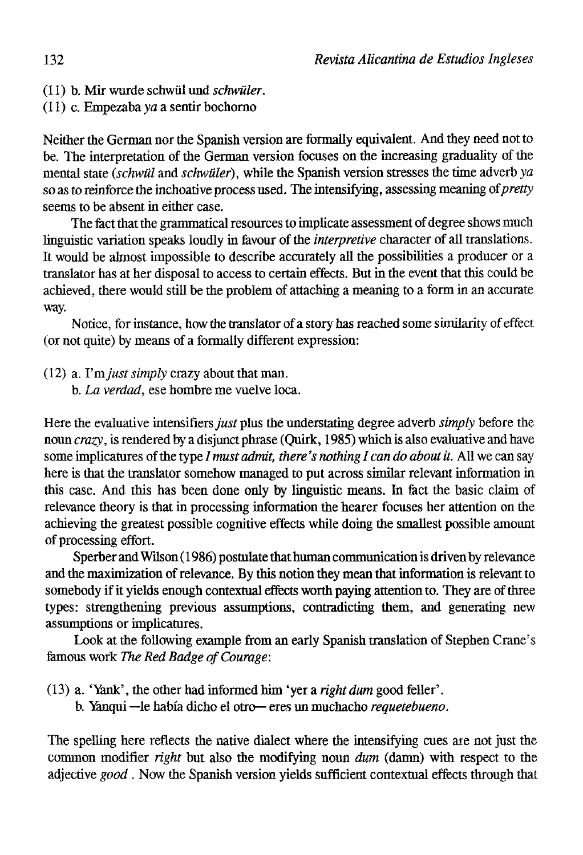- (11) b. Mir wurde schwül und *schwüler.*
- $(11)$  c. Empezaba va a sentir bochorno

Neither the German nor the Spanish version are formally equivalent. And they need not to be. The interpretation of the German version focuses on the increasing graduality of the mental state *(schwül* and *schwüler),* while the Spanish versión stresses the time adverb *ya*  so as to reinforce the inchoative process used. The intensifying, assessing meaning of *pretty*  seems to be absent in either case.

The fact that the grammatical resources to implicate assessment of degree shows much linguistic variation speaks loudly in favour of the *interpretive* character of all translations. It would be almost impossible to describe accurately all the possibilities a producer or a translator has at her disposal to access to certain effects. But in the event that this could be achieved, there would still be the problem of attaching a meaning to a form in an accurate way.

Notice, for instance, how the translator of a story has reached some similarity of effect (or not quite) by means of a formally different expression:

- (12) a. *Ymjust simply* crazy about that man.
	- b. *La verdad,* ese hombre me vuelve loca.

Here the evaluative intensifiers just plus the understating degree adverb *simply* before the noun *crazy,* is rendered by a disjunct phrase (Quirk, 1985) which is also evaluative and have some implicatures of the type / *must admit, there 's nothing I can do about it.* All we can say here is that the translator somehow managed to put across similar relevant information in this case. And this has been done only by linguistic means. In fact the basic claim of relevance theory is that in processing information the hearer focuses her attention on the achieving the greatest possible cognitive effects while doing the smallest possible amount of processing effort.

Sperber and Wilson (1986) postulate that human communication is driven by relevance and the maximization of relevance. By this notion they mean that information is relevant to somebody if it yields enough contextual effects worth paying attention to. They are of three types: strengthening previous assumptions, contradicting them, and generating new assumptions or implicatures.

Look at the following example from an early Spanish translaíion of Stephen Crane's famous work *The Red Badge of Courage:* 

- (13) a. 'Yank', the other had informed him 'yer a *right dum* good feller'.
	- b. Manqui —le había dicho el otro— eres un muchacho *requetebueno.*

The speliing here reflects the native dialect where the intensifying cues are not just the common modifier *right* but also the modifying noun *dum* (damn) with respect to the adjective *good*. Now the Spanish version yields sufficient contextual effects through that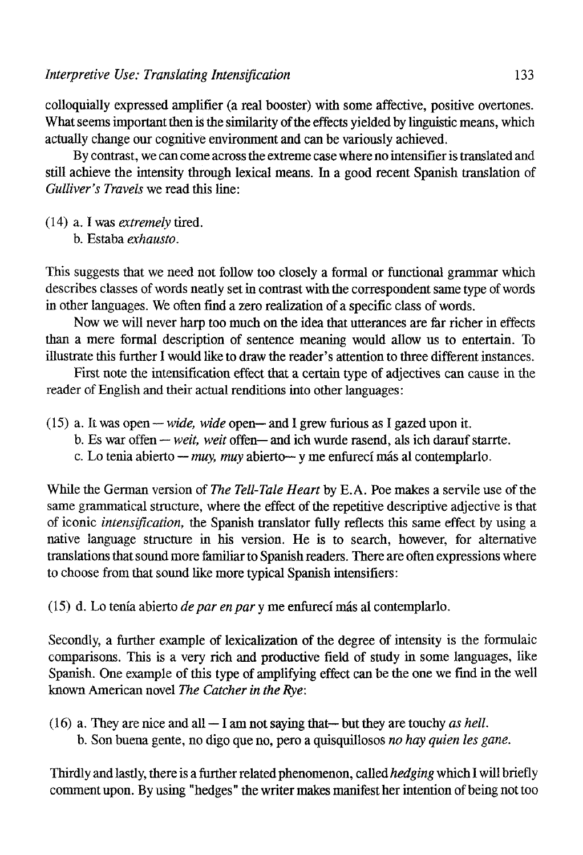colloquially expressed amplifier (a real booster) with some affective, positíve overtones. What seems important then is the similarity of the effects yielded by linguistic means, which actually change our cognitive environment and can be variously achieved.

By contrast, we can come across the extreme case where no intensifier is translated and still achieve the intensity through lexical means. In a good recent Spanish translation of *Gulliver's Travels* we read this line:

- (14) a. I was *extremely* tired.
	- b. Estaba *exhausto.*

This suggests that we need not follow too closely a formal or functional grammar which describes classes of words neatly set in contrast with the correspondent same type of words in other languages. We often find a zero realization of a specific class of words.

Now we will never harp too much on the idea that utterances are far richer in effects than a mere formal description of sentence meaning would allow us to entertain. To illustrate this further I would like to draw the reader's attention to three different instances.

First note the intensiflcation effect that a certain type of adjectives can cause in the reader of English and their actual renditions into other languages:

- (15) a. It was open — *wide, wide* open— and 1 grew furious as I gazed upon it.
	- b. Es war offen — *weit, weit* offen— and ich wurde rasend, ais ich darauf starrte.
	- c. Lo tenia abierto — *muy, muy* abierto— y me enfurecí más al contemplarlo.

While the German version of *The Tell-Tale Heart* by E.A. Poe makes a servile use of the same grammatical structure, where the effect of the repetitive descriptive adjective is that of iconic *intensification*, the Spanish translator fully reflects this same effect by using a native language structure in his versión. He is to search, however, for alternative translations that sound more iamiliar to Spanish readers. There are often expressions where to choose from that sound like more typical Spanish intensifiers:

(15) d. Lo tenía abierto *de par en par* y me enfurecí más al contemplarlo.

Secondly, a further example of lexicalization of the degree of intensity is the formulaic comparisons. This is a very rich and productive field of study in some languages, like Spanish. One example of this type of amplifying effect can be the one we find in the well known American novel *The Catcher in the Eye:* 

(16) a. They are nice and all — I am not saying that— but they are touchy *as hell.*  b. Son buena gente, no digo que no, pero a quisquillosos *no hay quien les gane.* 

Thirdly and lastly, there is a further related phenomenon, called *hedging* which I will briefly comment upon. By using "hedges" the writer makes manifest her intention of being not too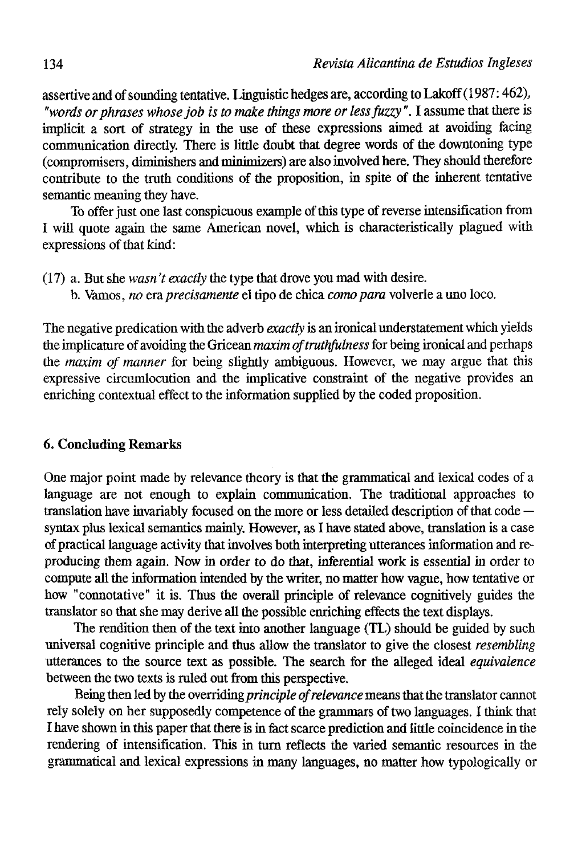assertive and of sounding tentative. Linguistic hedges are, according to Lakoff (1987: 462), *"words or phrases whose job is to make things more or less fuzzy".* I assume that there is implicit a sort of strategy in the use of these expressions aimed at avoiding facing communicaíion directly. There is little doubt that degree words of the downtoning type (compromisers, diminishers and minimizers) are also involved here. They should therefore contribute to the truth conditions of the proposition, in spite of the inherent tentative semantic meaning they nave.

To offer just one last conspicuous example of this type of reverse intensification from I will quote again the same American novel, which is characteristically plagued with expressions of that kind:

- (17) a. But she *wasn 't exactly* the type that drove you mad with desire.
	- b. Vamos, *no* era *precisamente* el tipo de chica *como para* volverle a uno loco.

The negative predication with the adverb *exactly* is an ironical understatement which yields the implicature of avoiding the Gricean *maxim oftruthfulness* for being ironical and perhaps the *maxim of manner* for being slightly ambiguous. However, we may argue that this expressive circumlocution and the implicative constraint of the negative provides an enriching contextual effect to the information supplied by the coded proposition.

## 6. Concluding Remarks

One major point made by relevance theory is that the grammatical and lexical codes of a language are not enough to explain communication. The traditional approaches to translation have invariably focused on the more or less detailed description of that code syntax plus lexical semantics mainly. However, as I have stated above, translation is a case of practical language activity that involves both interpreting utterances information and reproducing them again. Now in order to do that, inferential work is essential in order to compute all the information intended by the writer, no matter how vague, how tentative or how "connotative" it is. Thus the overall principle of relevance cognitively guides the translator so that she may derive all the possible enriching effects the text displays.

The rendition then of the text into another language (TL) should be guided by such universal cognitive principie and thus allow the translator to give the closest *resembling*  utterances to the source text as possible. The search for the alleged ideal *equivalence*  between the two texts is ruled out from this perspective.

Being then led by the overriding *principle of relevance* means that the translator cannot rely solely on her supposedly competence of the grammars of two languages. I think that I have shown in this paper that there is in fact scarce prediction and little coincidence in the rendering of intensification. This in turn reflects the varied semantic resources in the grammatical and lexical expressions in many languages, no matter how typologically or